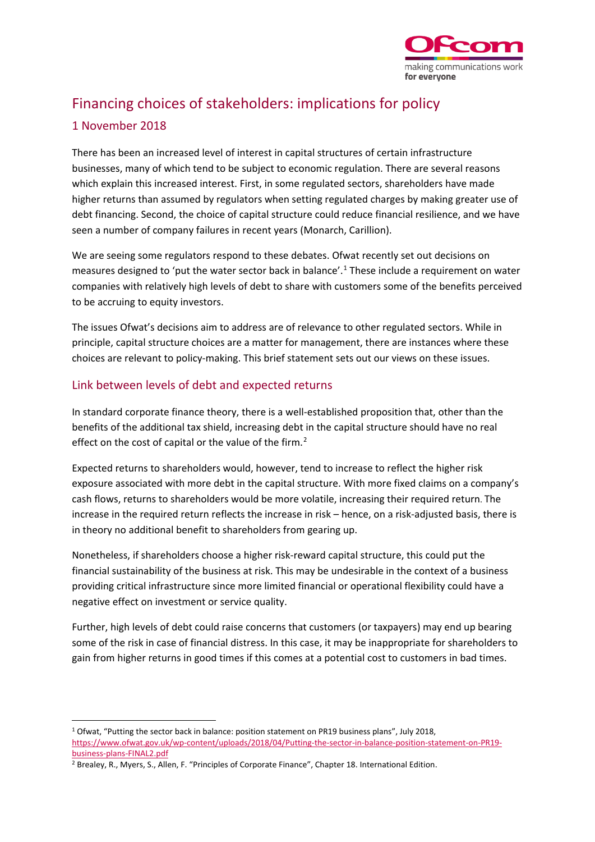

# Financing choices of stakeholders: implications for policy

## 1 November 2018

There has been an increased level of interest in capital structures of certain infrastructure businesses, many of which tend to be subject to economic regulation. There are several reasons which explain this increased interest. First, in some regulated sectors, shareholders have made higher returns than assumed by regulators when setting regulated charges by making greater use of debt financing. Second, the choice of capital structure could reduce financial resilience, and we have seen a number of company failures in recent years (Monarch, Carillion).

We are seeing some regulators respond to these debates. Ofwat recently set out decisions on measures designed to 'put the water sector back in balance'.<sup>[1](#page-0-0)</sup> These include a requirement on water companies with relatively high levels of debt to share with customers some of the benefits perceived to be accruing to equity investors.

The issues Ofwat's decisions aim to address are of relevance to other regulated sectors. While in principle, capital structure choices are a matter for management, there are instances where these choices are relevant to policy-making. This brief statement sets out our views on these issues.

# Link between levels of debt and expected returns

In standard corporate finance theory, there is a well-established proposition that, other than the benefits of the additional tax shield, increasing debt in the capital structure should have no real effect on the cost of capital or the value of the firm.<sup>[2](#page-0-1)</sup>

Expected returns to shareholders would, however, tend to increase to reflect the higher risk exposure associated with more debt in the capital structure. With more fixed claims on a company's cash flows, returns to shareholders would be more volatile, increasing their required return. The increase in the required return reflects the increase in risk – hence, on a risk-adjusted basis, there is in theory no additional benefit to shareholders from gearing up.

Nonetheless, if shareholders choose a higher risk-reward capital structure, this could put the financial sustainability of the business at risk. This may be undesirable in the context of a business providing critical infrastructure since more limited financial or operational flexibility could have a negative effect on investment or service quality.

Further, high levels of debt could raise concerns that customers (or taxpayers) may end up bearing some of the risk in case of financial distress. In this case, it may be inappropriate for shareholders to gain from higher returns in good times if this comes at a potential cost to customers in bad times.

<span id="page-0-0"></span> <sup>1</sup> Ofwat, "Putting the sector back in balance: position statement on PR19 business plans", July 2018, [https://www.ofwat.gov.uk/wp-content/uploads/2018/04/Putting-the-sector-in-balance-position-statement-on-PR19](https://www.ofwat.gov.uk/wp-content/uploads/2018/04/Putting-the-sector-in-balance-position-statement-on-PR19-business-plans-FINAL2.pdf) [business-plans-FINAL2.pdf](https://www.ofwat.gov.uk/wp-content/uploads/2018/04/Putting-the-sector-in-balance-position-statement-on-PR19-business-plans-FINAL2.pdf)

<span id="page-0-1"></span><sup>2</sup> Brealey, R., Myers, S., Allen, F. "Principles of Corporate Finance", Chapter 18. International Edition.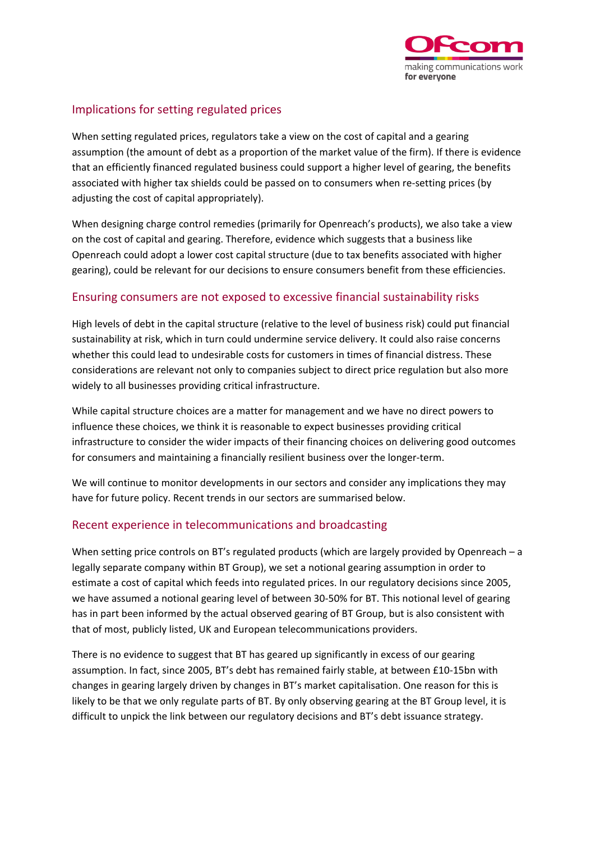

## Implications for setting regulated prices

When setting regulated prices, regulators take a view on the cost of capital and a gearing assumption (the amount of debt as a proportion of the market value of the firm). If there is evidence that an efficiently financed regulated business could support a higher level of gearing, the benefits associated with higher tax shields could be passed on to consumers when re-setting prices (by adjusting the cost of capital appropriately).

When designing charge control remedies (primarily for Openreach's products), we also take a view on the cost of capital and gearing. Therefore, evidence which suggests that a business like Openreach could adopt a lower cost capital structure (due to tax benefits associated with higher gearing), could be relevant for our decisions to ensure consumers benefit from these efficiencies.

### Ensuring consumers are not exposed to excessive financial sustainability risks

High levels of debt in the capital structure (relative to the level of business risk) could put financial sustainability at risk, which in turn could undermine service delivery. It could also raise concerns whether this could lead to undesirable costs for customers in times of financial distress. These considerations are relevant not only to companies subject to direct price regulation but also more widely to all businesses providing critical infrastructure.

While capital structure choices are a matter for management and we have no direct powers to influence these choices, we think it is reasonable to expect businesses providing critical infrastructure to consider the wider impacts of their financing choices on delivering good outcomes for consumers and maintaining a financially resilient business over the longer-term.

We will continue to monitor developments in our sectors and consider any implications they may have for future policy. Recent trends in our sectors are summarised below.

## Recent experience in telecommunications and broadcasting

When setting price controls on BT's regulated products (which are largely provided by Openreach – a legally separate company within BT Group), we set a notional gearing assumption in order to estimate a cost of capital which feeds into regulated prices. In our regulatory decisions since 2005, we have assumed a notional gearing level of between 30-50% for BT. This notional level of gearing has in part been informed by the actual observed gearing of BT Group, but is also consistent with that of most, publicly listed, UK and European telecommunications providers.

There is no evidence to suggest that BT has geared up significantly in excess of our gearing assumption. In fact, since 2005, BT's debt has remained fairly stable, at between £10-15bn with changes in gearing largely driven by changes in BT's market capitalisation. One reason for this is likely to be that we only regulate parts of BT. By only observing gearing at the BT Group level, it is difficult to unpick the link between our regulatory decisions and BT's debt issuance strategy.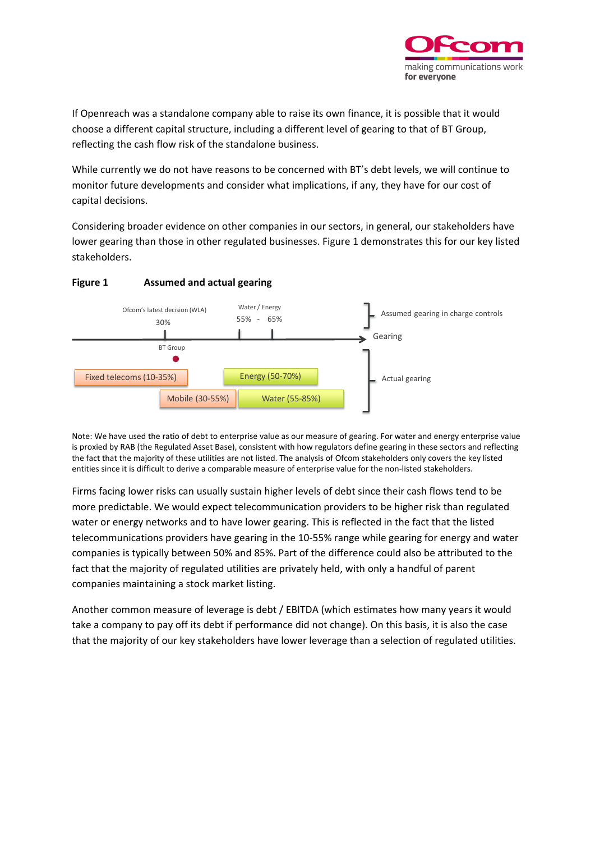

If Openreach was a standalone company able to raise its own finance, it is possible that it would choose a different capital structure, including a different level of gearing to that of BT Group, reflecting the cash flow risk of the standalone business.

While currently we do not have reasons to be concerned with BT's debt levels, we will continue to monitor future developments and consider what implications, if any, they have for our cost of capital decisions.

Considering broader evidence on other companies in our sectors, in general, our stakeholders have lower gearing than those in other regulated businesses. Figure 1 demonstrates this for our key listed stakeholders.



#### **Figure 1 Assumed and actual gearing**

Note: We have used the ratio of debt to enterprise value as our measure of gearing. For water and energy enterprise value is proxied by RAB (the Regulated Asset Base), consistent with how regulators define gearing in these sectors and reflecting the fact that the majority of these utilities are not listed. The analysis of Ofcom stakeholders only covers the key listed entities since it is difficult to derive a comparable measure of enterprise value for the non-listed stakeholders.

Firms facing lower risks can usually sustain higher levels of debt since their cash flows tend to be more predictable. We would expect telecommunication providers to be higher risk than regulated water or energy networks and to have lower gearing. This is reflected in the fact that the listed telecommunications providers have gearing in the 10-55% range while gearing for energy and water companies is typically between 50% and 85%. Part of the difference could also be attributed to the fact that the majority of regulated utilities are privately held, with only a handful of parent companies maintaining a stock market listing.

Another common measure of leverage is debt / EBITDA (which estimates how many years it would take a company to pay off its debt if performance did not change). On this basis, it is also the case that the majority of our key stakeholders have lower leverage than a selection of regulated utilities.